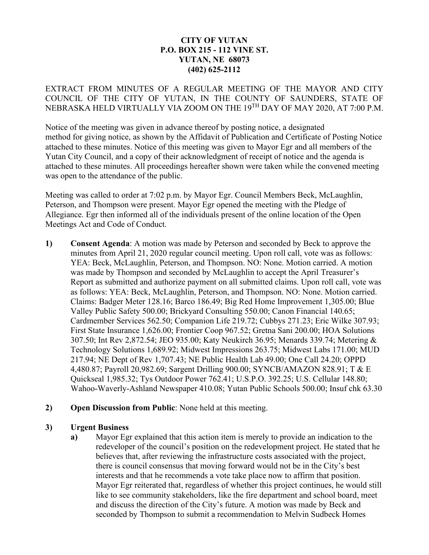# **CITY OF YUTAN P.O. BOX 215 - 112 VINE ST. YUTAN, NE 68073 (402) 625-2112**

EXTRACT FROM MINUTES OF A REGULAR MEETING OF THE MAYOR AND CITY COUNCIL OF THE CITY OF YUTAN, IN THE COUNTY OF SAUNDERS, STATE OF NEBRASKA HELD VIRTUALLY VIA ZOOM ON THE 19TH DAY OF MAY 2020, AT 7:00 P.M.

Notice of the meeting was given in advance thereof by posting notice, a designated method for giving notice, as shown by the Affidavit of Publication and Certificate of Posting Notice attached to these minutes. Notice of this meeting was given to Mayor Egr and all members of the Yutan City Council, and a copy of their acknowledgment of receipt of notice and the agenda is attached to these minutes. All proceedings hereafter shown were taken while the convened meeting was open to the attendance of the public.

Meeting was called to order at 7:02 p.m. by Mayor Egr. Council Members Beck, McLaughlin, Peterson, and Thompson were present. Mayor Egr opened the meeting with the Pledge of Allegiance. Egr then informed all of the individuals present of the online location of the Open Meetings Act and Code of Conduct.

- **1) Consent Agenda**: A motion was made by Peterson and seconded by Beck to approve the minutes from April 21, 2020 regular council meeting. Upon roll call, vote was as follows: YEA: Beck, McLaughlin, Peterson, and Thompson. NO: None. Motion carried. A motion was made by Thompson and seconded by McLaughlin to accept the April Treasurer's Report as submitted and authorize payment on all submitted claims. Upon roll call, vote was as follows: YEA: Beck, McLaughlin, Peterson, and Thompson. NO: None. Motion carried. Claims: Badger Meter 128.16; Barco 186.49; Big Red Home Improvement 1,305.00; Blue Valley Public Safety 500.00; Brickyard Consulting 550.00; Canon Financial 140.65; Cardmember Services 562.50; Companion Life 219.72; Cubbys 271.23; Eric Wilke 307.93; First State Insurance 1,626.00; Frontier Coop 967.52; Gretna Sani 200.00; HOA Solutions 307.50; Int Rev 2,872.54; JEO 935.00; Katy Neukirch 36.95; Menards 339.74; Metering & Technology Solutions 1,689.92; Midwest Impressions 263.75; Midwest Labs 171.00; MUD 217.94; NE Dept of Rev 1,707.43; NE Public Health Lab 49.00; One Call 24.20; OPPD 4,480.87; Payroll 20,982.69; Sargent Drilling 900.00; SYNCB/AMAZON 828.91; T & E Quickseal 1,985.32; Tys Outdoor Power 762.41; U.S.P.O. 392.25; U.S. Cellular 148.80; Wahoo-Waverly-Ashland Newspaper 410.08; Yutan Public Schools 500.00; Insuf chk 63.30
- **2) Open Discussion from Public**: None held at this meeting.

## **3) Urgent Business**

**a)** Mayor Egr explained that this action item is merely to provide an indication to the redeveloper of the council's position on the redevelopment project. He stated that he believes that, after reviewing the infrastructure costs associated with the project, there is council consensus that moving forward would not be in the City's best interests and that he recommends a vote take place now to affirm that position. Mayor Egr reiterated that, regardless of whether this project continues, he would still like to see community stakeholders, like the fire department and school board, meet and discuss the direction of the City's future. A motion was made by Beck and seconded by Thompson to submit a recommendation to Melvin Sudbeck Homes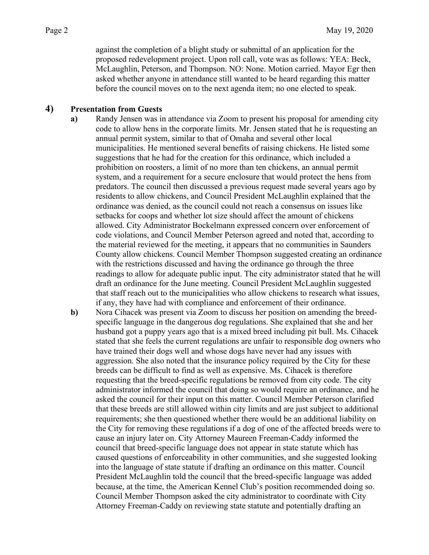against the completion of a blight study or submittal of an application for the proposed redevelopment project. Upon roll call, vote was as follows: YEA: Beck, McLaughlin, Peterson, and Thompson. NO: None. Motion carried. Mayor Egr then asked whether anyone in attendance still wanted to be heard regarding this matter before the council moves on to the next agenda item; no one elected to speak.

## **4) Presentation from Guests**

- **a)** Randy Jensen was in attendance via Zoom to present his proposal for amending city code to allow hens in the corporate limits. Mr. Jensen stated that he is requesting an annual permit system, similar to that of Omaha and several other local municipalities. He mentioned several benefits of raising chickens. He listed some suggestions that he had for the creation for this ordinance, which included a prohibition on roosters, a limit of no more than ten chickens, an annual permit system, and a requirement for a secure enclosure that would protect the hens from predators. The council then discussed a previous request made several years ago by residents to allow chickens, and Council President McLaughlin explained that the ordinance was denied, as the council could not reach a consensus on issues like setbacks for coops and whether lot size should affect the amount of chickens allowed. City Administrator Bockelmann expressed concern over enforcement of code violations, and Council Member Peterson agreed and noted that, according to the material reviewed for the meeting, it appears that no communities in Saunders County allow chickens. Council Member Thompson suggested creating an ordinance with the restrictions discussed and having the ordinance go through the three readings to allow for adequate public input. The city administrator stated that he will draft an ordinance for the June meeting. Council President McLaughlin suggested that staff reach out to the municipalities who allow chickens to research what issues, if any, they have had with compliance and enforcement of their ordinance.
- **b)** Nora Cihacek was present via Zoom to discuss her position on amending the breedspecific language in the dangerous dog regulations. She explained that she and her husband got a puppy years ago that is a mixed breed including pit bull. Ms. Cihacek stated that she feels the current regulations are unfair to responsible dog owners who have trained their dogs well and whose dogs have never had any issues with aggression. She also noted that the insurance policy required by the City for these breeds can be difficult to find as well as expensive. Ms. Cihacek is therefore requesting that the breed-specific regulations be removed from city code. The city administrator informed the council that doing so would require an ordinance, and he asked the council for their input on this matter. Council Member Peterson clarified that these breeds are still allowed within city limits and are just subject to additional requirements; she then questioned whether there would be an additional liability on the City for removing these regulations if a dog of one of the affected breeds were to cause an injury later on. City Attorney Maureen Freeman-Caddy informed the council that breed-specific language does not appear in state statute which has caused questions of enforceability in other communities, and she suggested looking into the language of state statute if drafting an ordinance on this matter. Council President McLaughlin told the council that the breed-specific language was added because, at the time, the American Kennel Club's position recommended doing so. Council Member Thompson asked the city administrator to coordinate with City Attorney Freeman-Caddy on reviewing state statute and potentially drafting an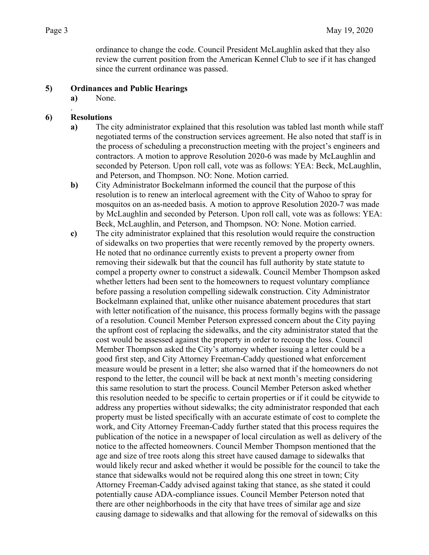ordinance to change the code. Council President McLaughlin asked that they also review the current position from the American Kennel Club to see if it has changed since the current ordinance was passed.

## **5) Ordinances and Public Hearings**

**a)** None.

#### . **6) Resolutions**

- **a)** The city administrator explained that this resolution was tabled last month while staff negotiated terms of the construction services agreement. He also noted that staff is in the process of scheduling a preconstruction meeting with the project's engineers and contractors. A motion to approve Resolution 2020-6 was made by McLaughlin and seconded by Peterson. Upon roll call, vote was as follows: YEA: Beck, McLaughlin, and Peterson, and Thompson. NO: None. Motion carried.
- **b)** City Administrator Bockelmann informed the council that the purpose of this resolution is to renew an interlocal agreement with the City of Wahoo to spray for mosquitos on an as-needed basis. A motion to approve Resolution 2020-7 was made by McLaughlin and seconded by Peterson. Upon roll call, vote was as follows: YEA: Beck, McLaughlin, and Peterson, and Thompson. NO: None. Motion carried.
- **c)** The city administrator explained that this resolution would require the construction of sidewalks on two properties that were recently removed by the property owners. He noted that no ordinance currently exists to prevent a property owner from removing their sidewalk but that the council has full authority by state statute to compel a property owner to construct a sidewalk. Council Member Thompson asked whether letters had been sent to the homeowners to request voluntary compliance before passing a resolution compelling sidewalk construction. City Administrator Bockelmann explained that, unlike other nuisance abatement procedures that start with letter notification of the nuisance, this process formally begins with the passage of a resolution. Council Member Peterson expressed concern about the City paying the upfront cost of replacing the sidewalks, and the city administrator stated that the cost would be assessed against the property in order to recoup the loss. Council Member Thompson asked the City's attorney whether issuing a letter could be a good first step, and City Attorney Freeman-Caddy questioned what enforcement measure would be present in a letter; she also warned that if the homeowners do not respond to the letter, the council will be back at next month's meeting considering this same resolution to start the process. Council Member Peterson asked whether this resolution needed to be specific to certain properties or if it could be citywide to address any properties without sidewalks; the city administrator responded that each property must be listed specifically with an accurate estimate of cost to complete the work, and City Attorney Freeman-Caddy further stated that this process requires the publication of the notice in a newspaper of local circulation as well as delivery of the notice to the affected homeowners. Council Member Thompson mentioned that the age and size of tree roots along this street have caused damage to sidewalks that would likely recur and asked whether it would be possible for the council to take the stance that sidewalks would not be required along this one street in town; City Attorney Freeman-Caddy advised against taking that stance, as she stated it could potentially cause ADA-compliance issues. Council Member Peterson noted that there are other neighborhoods in the city that have trees of similar age and size causing damage to sidewalks and that allowing for the removal of sidewalks on this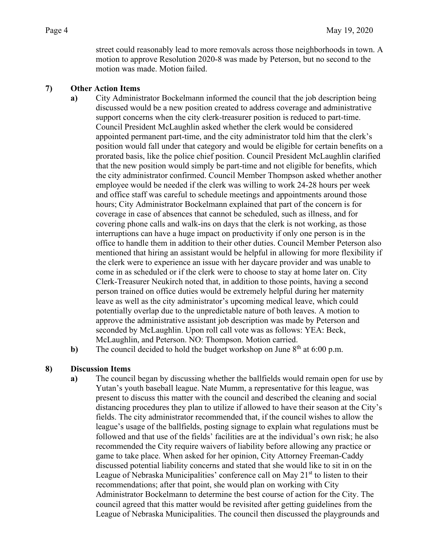street could reasonably lead to more removals across those neighborhoods in town. A motion to approve Resolution 2020-8 was made by Peterson, but no second to the motion was made. Motion failed.

#### **7) Other Action Items**

**a)** City Administrator Bockelmann informed the council that the job description being discussed would be a new position created to address coverage and administrative support concerns when the city clerk-treasurer position is reduced to part-time. Council President McLaughlin asked whether the clerk would be considered appointed permanent part-time, and the city administrator told him that the clerk's position would fall under that category and would be eligible for certain benefits on a prorated basis, like the police chief position. Council President McLaughlin clarified that the new position would simply be part-time and not eligible for benefits, which the city administrator confirmed. Council Member Thompson asked whether another employee would be needed if the clerk was willing to work 24-28 hours per week and office staff was careful to schedule meetings and appointments around those hours; City Administrator Bockelmann explained that part of the concern is for coverage in case of absences that cannot be scheduled, such as illness, and for covering phone calls and walk-ins on days that the clerk is not working, as those interruptions can have a huge impact on productivity if only one person is in the office to handle them in addition to their other duties. Council Member Peterson also mentioned that hiring an assistant would be helpful in allowing for more flexibility if the clerk were to experience an issue with her daycare provider and was unable to come in as scheduled or if the clerk were to choose to stay at home later on. City Clerk-Treasurer Neukirch noted that, in addition to those points, having a second person trained on office duties would be extremely helpful during her maternity leave as well as the city administrator's upcoming medical leave, which could potentially overlap due to the unpredictable nature of both leaves. A motion to approve the administrative assistant job description was made by Peterson and seconded by McLaughlin. Upon roll call vote was as follows: YEA: Beck, McLaughlin, and Peterson. NO: Thompson. Motion carried.

**b**) The council decided to hold the budget workshop on June 8<sup>th</sup> at 6:00 p.m.

## **8) Discussion Items**

**a)** The council began by discussing whether the ballfields would remain open for use by Yutan's youth baseball league. Nate Mumm, a representative for this league, was present to discuss this matter with the council and described the cleaning and social distancing procedures they plan to utilize if allowed to have their season at the City's fields. The city administrator recommended that, if the council wishes to allow the league's usage of the ballfields, posting signage to explain what regulations must be followed and that use of the fields' facilities are at the individual's own risk; he also recommended the City require waivers of liability before allowing any practice or game to take place. When asked for her opinion, City Attorney Freeman-Caddy discussed potential liability concerns and stated that she would like to sit in on the League of Nebraska Municipalities' conference call on May  $21<sup>st</sup>$  to listen to their recommendations; after that point, she would plan on working with City Administrator Bockelmann to determine the best course of action for the City. The council agreed that this matter would be revisited after getting guidelines from the League of Nebraska Municipalities. The council then discussed the playgrounds and